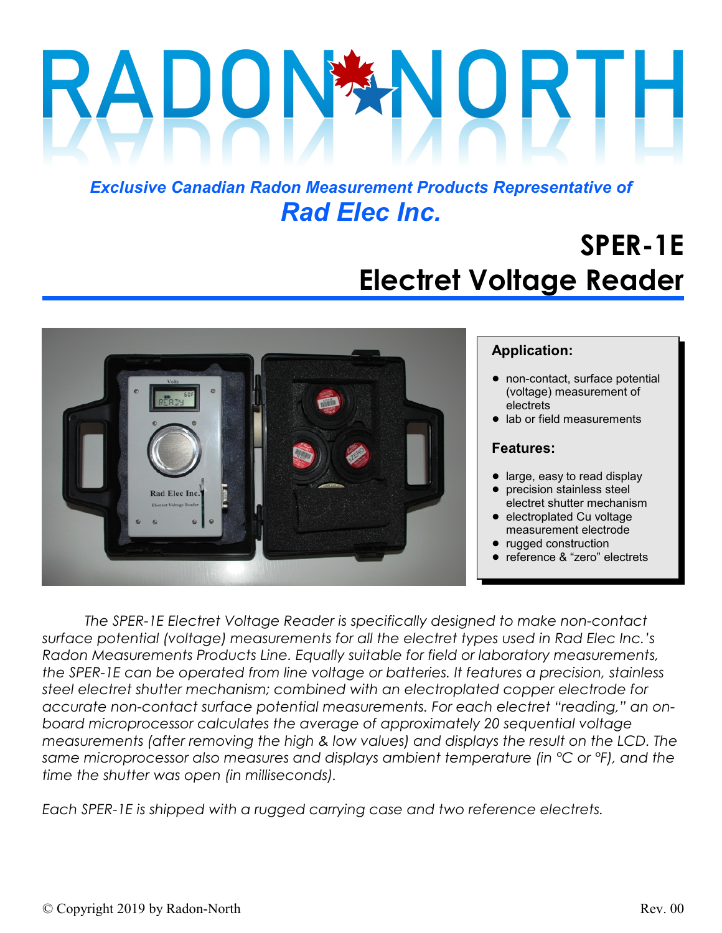# $\bigcup$

## *Exclusive Canadian Radon Measurement Products Representative of Rad Elec Inc.*

# **SPER-1E Electret Voltage Reader**



#### **Application:**

- non-contact, surface potential (voltage) measurement of electrets
- lab or field measurements

#### **Features:**

- large, easy to read display
- precision stainless steel electret shutter mechanism
- electroplated Cu voltage measurement electrode
- rugged construction
- reference & "zero" electrets

*The SPER-1E Electret Voltage Reader is specifically designed to make non-contact surface potential (voltage) measurements for all the electret types used in Rad Elec Inc.'s Radon Measurements Products Line. Equally suitable for field or laboratory measurements, the SPER-1E can be operated from line voltage or batteries. It features a precision, stainless steel electret shutter mechanism; combined with an electroplated copper electrode for accurate non-contact surface potential measurements. For each electret "reading," an onboard microprocessor calculates the average of approximately 20 sequential voltage measurements (after removing the high & low values) and displays the result on the LCD. The same microprocessor also measures and displays ambient temperature (in °C or °F), and the time the shutter was open (in milliseconds).*

*Each SPER-1E is shipped with a rugged carrying case and two reference electrets.*